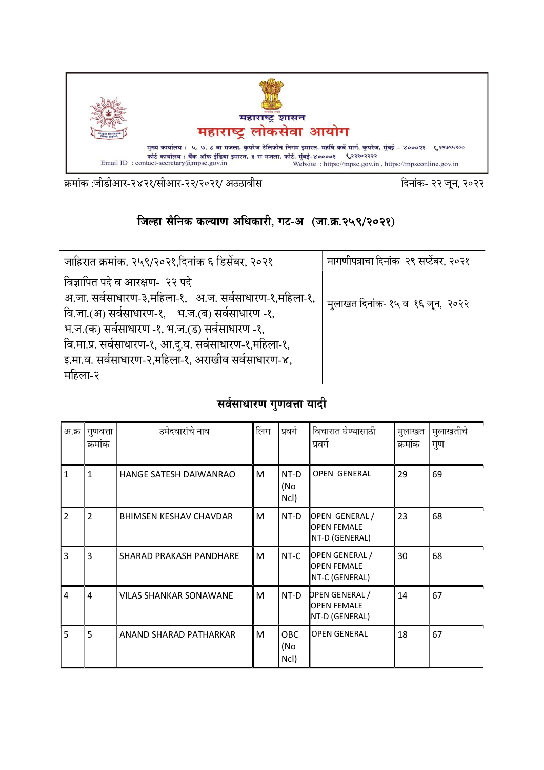

क्रमांक :जीडीआर-२४२१/सीआर-२२/२०२१/ अठठावीस

दिनांक- २२ जून, २०२२

## जिल्हा सैनिक कल्याण अधिकारी, गट-अ (जा.क्र.२५९/२०२१)

| जाहिरात क्रमांक. २५९/२०२१,दिनांक ६ डिसेंबर, २०२१                                                                                                                                                                                                                                                                       | मागणीपत्राचा दिनांक  २९ सप्टेंबर, २०२१ |
|------------------------------------------------------------------------------------------------------------------------------------------------------------------------------------------------------------------------------------------------------------------------------------------------------------------------|----------------------------------------|
| विज्ञापित पदे व आरक्षण- २२ पदे<br>अ.जा. सर्वसाधारण-३,महिला-१, अ.ज. सर्वसाधारण-१,महिला-१,<br>वि.जा.(अ) सर्वसाधारण-१, भ.ज.(ब) सर्वसाधारण -१,<br>भ.ज.(क) सर्वसाधारण -१, भ.ज.(ड) सर्वसाधारण -१,<br>वि.मा.प्र. सर्वसाधारण-१, आ.दु.घ. सर्वसाधारण-१,महिला-१,<br>इ.मा.व. सर्वसाधारण-२,महिला-१, अराखीव सर्वसाधारण-४,<br>महिला-२ | मुलाखत दिनांक- १५ व १६ जून, २०२२       |

## सर्वसाधारण गुणवत्ता यादी

| अ.क्र          | गुणवत्ता<br>क्रमांक | उमेदवारांचे नाव               | लिंग | 'प्रवर्ग                  | विचारात घेण्यासाठी<br>प्रवर्ग                                 | मुलाखत<br>क्रमांक | ंमुलाखतीच <mark>े</mark><br>गुण |
|----------------|---------------------|-------------------------------|------|---------------------------|---------------------------------------------------------------|-------------------|---------------------------------|
| $\mathbf{1}$   | $\mathbf{1}$        | HANGE SATESH DAIWANRAO        | M    | NT-D<br>(No<br>Ncl)       | <b>OPEN GENERAL</b>                                           | 29                | 69                              |
| $\mathcal{P}$  | $\overline{2}$      | <b>BHIMSEN KESHAV CHAVDAR</b> | M    | NT-D                      | OPEN GENERAL/<br><b>OPEN FEMALE</b><br>NT-D (GENERAL)         | 23                | 68                              |
| 3              | 3                   | SHARAD PRAKASH PANDHARE       | м    | NT-C                      | OPEN GENERAL /<br><b>OPEN FEMALE</b><br>NT-C (GENERAL)        | 30                | 68                              |
| $\overline{4}$ | 4                   | <b>VILAS SHANKAR SONAWANE</b> | м    | NT-D                      | <b>DPEN GENERAL /</b><br><b>OPEN FEMALE</b><br>NT-D (GENERAL) | 14                | 67                              |
| 5              | 5                   | ANAND SHARAD PATHARKAR        | M    | <b>OBC</b><br>(No<br>Ncl) | <b>OPEN GENERAL</b>                                           | 18                | 67                              |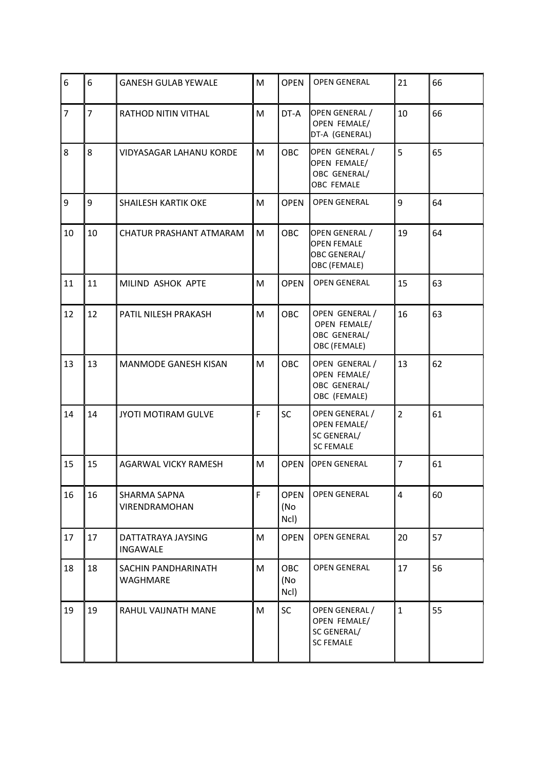| 6              | 6              | <b>GANESH GULAB YEWALE</b>      | M | <b>OPEN</b>                | <b>OPEN GENERAL</b>                                                      | 21             | 66 |
|----------------|----------------|---------------------------------|---|----------------------------|--------------------------------------------------------------------------|----------------|----|
| $\overline{7}$ | $\overline{7}$ | RATHOD NITIN VITHAL             | M | DT-A                       | OPEN GENERAL /<br>OPEN FEMALE/<br>DT-A (GENERAL)                         | 10             | 66 |
| 8              | 8              | <b>VIDYASAGAR LAHANU KORDE</b>  | м | <b>OBC</b>                 | OPEN GENERAL /<br>OPEN FEMALE/<br>OBC GENERAL/<br><b>OBC FEMALE</b>      | 5              | 65 |
| 9              | 9              | <b>SHAILESH KARTIK OKE</b>      | M | <b>OPEN</b>                | <b>OPEN GENERAL</b>                                                      | 9              | 64 |
| 10             | 10             | CHATUR PRASHANT ATMARAM         | M | <b>OBC</b>                 | OPEN GENERAL /<br><b>OPEN FEMALE</b><br>OBC GENERAL/<br>OBC (FEMALE)     | 19             | 64 |
| 11             | 11             | MILIND ASHOK APTE               | M | <b>OPEN</b>                | <b>OPEN GENERAL</b>                                                      | 15             | 63 |
| 12             | 12             | PATIL NILESH PRAKASH            | M | <b>OBC</b>                 | OPEN GENERAL /<br>OPEN FEMALE/<br>OBC GENERAL/<br>OBC (FEMALE)           | 16             | 63 |
| 13             | 13             | <b>MANMODE GANESH KISAN</b>     | M | <b>OBC</b>                 | OPEN GENERAL /<br>OPEN FEMALE/<br>OBC GENERAL/<br>OBC (FEMALE)           | 13             | 62 |
| 14             | 14             | JYOTI MOTIRAM GULVE             | F | SC                         | OPEN GENERAL /<br><b>OPEN FEMALE/</b><br>SC GENERAL/<br><b>SC FEMALE</b> | $\overline{2}$ | 61 |
| 15             | 15             | AGARWAL VICKY RAMESH            | M | <b>OPEN</b>                | <b>OPEN GENERAL</b>                                                      | $\overline{7}$ | 61 |
| 16             | 16             | SHARMA SAPNA<br>VIRENDRAMOHAN   | F | <b>OPEN</b><br>(No<br>Ncl) | <b>OPEN GENERAL</b>                                                      | $\overline{4}$ | 60 |
| 17             | 17             | DATTATRAYA JAYSING<br>INGAWALE  | M | <b>OPEN</b>                | <b>OPEN GENERAL</b>                                                      | 20             | 57 |
| 18             | 18             | SACHIN PANDHARINATH<br>WAGHMARE | M | <b>OBC</b><br>(No<br>Ncl)  | <b>OPEN GENERAL</b>                                                      | 17             | 56 |
| 19             | 19             | RAHUL VAIJNATH MANE             | M | SC                         | OPEN GENERAL /<br>OPEN FEMALE/<br>SC GENERAL/<br><b>SC FEMALE</b>        | $\mathbf{1}$   | 55 |